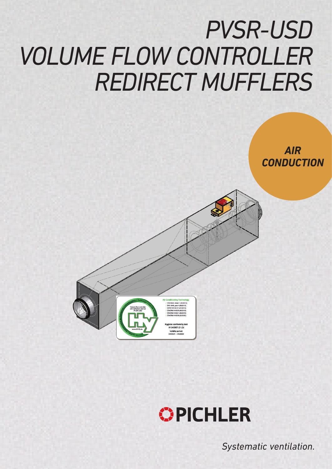# *PVSR-USD VOLUME FLOW CONTROLLER REDIRECT MUFFLERS*





*Systematic ventilation.*

*AIR*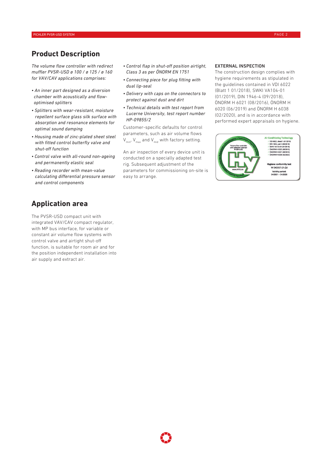## **Product Description**

*The volume flow controller with redirect muffler PVSR-USD ø 100 / ø 125 / ø 160 for VAV/CAV applications comprises:*

- *An inner part designed as a diversion chamber with acoustically and flow optimised splitters*
- *Splitters with wear-resistant, moisture repellent surface glass silk surface with absorption and resonance elements for optimal sound damping*
- *Housing made of zinc-plated sheet steel with fitted control butterfly valve and shut-off function*
- *Control valve with all-round non-ageing and permanently elastic seal*
- *Reading recorder with mean-value calculating differential pressure sensor and control components*

## **Application area**

The PVSR-USD compact unit with integrated VAV/CAV compact regulator, with MP bus interface, for variable or constant air volume flow systems with control valve and airtight shut-off function, is suitable for room air and for the position independent installation into air supply and extract air.

- *Control flap in shut-off position airtight, Class 3 as per ÖNORM EN 1751*
- *Connecting piece for plug fitting with dual lip-seal*
- *Delivery with caps on the connectors to protect against dust and dirt*
- *Technical details with test report from Lucerne University, test report number HP-09855/2*

Customer-specific defaults for control parameters, such as air volume flows  $V_{min}$ ,  $V_{max}$  and  $V_{mid}$  with factory setting.

An air inspection of every device unit is conducted on a specially adapted test rig. Subsequent adjustment of the parameters for commissioning on-site is easy to arrange.

#### EXTERNAL INSPECTION

The construction design complies with hygiene requirements as stipulated in the guidelines contained in VDI 6022 (Blatt 1 01/2018), SWKI VA104-01 (01/2019), DIN 1946-4 (09/2018), ÖNORM H 6021 (08/2016), ÖNORM H 6020 (06/2019) and ÖNORM H 6038 (02/2020), and is in accordance with performed expert appraisals on hygiene.

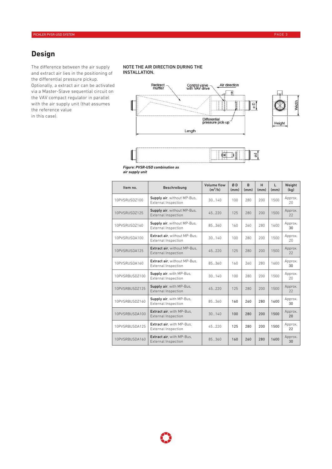## **Design**

The difference between the air supply and extract air lies in the positioning of the differential pressure pickup. Optionally, a extract air can be activated via a Master-Slave sequential circuit on the VAV compact regulator in parallel with the air supply unit (that assumes the reference value in this case).

#### NOTE THE AIR DIRECTION DURING THE INSTALLATION.





*Figure: PVSR-USD combination as* 

| air supply unit |  |
|-----------------|--|
|-----------------|--|

| Item no.       | <b>Beschreibung</b>                                               | <b>Volume flow</b><br>$(m^3/h)$ | ØD<br>(mm) | <sub>R</sub><br>(mm) | H<br>(mm) | L<br>(mm) | Weight<br>(kq) |
|----------------|-------------------------------------------------------------------|---------------------------------|------------|----------------------|-----------|-----------|----------------|
| 10PVSRUSD7100  | Supply air, without MP-Bus,<br>External Inspection                | 30140                           | 100        | 280                  | 200       | 1500      | Approx.<br>20  |
| 10PVSRUSD7125  | Supply air, without MP-Bus,<br><b>External Inspection</b>         | 45.220                          | 125        | 280                  | 200       | 1500      | Approx.<br>22  |
| 10PVSRUSD7160  | Supply air, without MP-Bus,<br><b>External Inspection</b>         | 85.360                          | 160        | 260                  | 280       | 1600      | Approx.<br>30  |
| 10PVSRUSDA100  | <b>Extract air.</b> without MP-Bus.<br><b>External Inspection</b> | 30140                           | 100        | 280                  | 200       | 1500      | Approx.<br>20  |
| 10PVSRUSDA125  | Extract air, without MP-Bus,<br><b>External Inspection</b>        | 45220                           | 125        | 280                  | 200       | 1500      | Approx.<br>22  |
| 10PVSRUSDA160  | Extract air, without MP-Bus,<br><b>External Inspection</b>        | 85.360                          | 160        | 260                  | 280       | 1600      | Approx.<br>30  |
| 10PVSRBUSDZ100 | Supply air, with MP-Bus,<br><b>External Inspection</b>            | 30140                           | 100        | 280                  | 200       | 1500      | Approx.<br>20  |
| 10PVSRBUSDZ125 | Supply air, with MP-Bus,<br><b>External Inspection</b>            | 45.220                          | 125        | 280                  | 200       | 1500      | Approx.<br>22  |
| 10PVSRBUSD7160 | Supply air, with MP-Bus,<br>External Inspection                   | 85.360                          | 160        | 260                  | 280       | 1600      | Approx.<br>30  |
| 10PVSRBUSDA100 | Extract air, with MP-Bus,<br><b>External Inspection</b>           | 30140                           | 100        | 280                  | 200       | 1500      | Approx.<br>20  |
| 10PVSRBUSDA125 | <b>Extract air.</b> with MP-Bus.<br>External Inspection           | 45220                           | 125        | 280                  | 200       | 1500      | Approx.<br>22  |
| 10PVSRBUSDA160 | Extract air, with MP-Bus,<br><b>External Inspection</b>           | 85.360                          | 160        | 260                  | 280       | 1600      | Approx.<br>30  |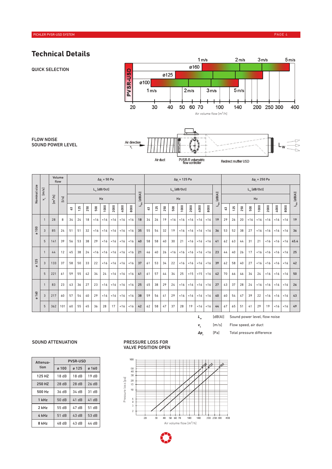## **Technical Details**

QUICK SELECTION





FLOW NOISE SOUND POWER LEVEL

|                |                | Volume<br>$\Delta p$ , = 50 Pa<br>flow |         |                |     | $\Delta p$ <sub>,</sub> = 125 Pa |                |                       |      |      |      | $\Delta p$ <sub>,</sub> = 250 Pa |                |     |     |             |                  |      |      |      |                                     |    |     |     |                |                       |      |      |      |                           |
|----------------|----------------|----------------------------------------|---------|----------------|-----|----------------------------------|----------------|-----------------------|------|------|------|----------------------------------|----------------|-----|-----|-------------|------------------|------|------|------|-------------------------------------|----|-----|-----|----------------|-----------------------|------|------|------|---------------------------|
|                |                |                                        |         |                |     |                                  |                | $L_{\ldots}$ [dB/Oct] |      |      |      |                                  |                |     |     |             | $L_{w}$ [dB/Oct] |      |      |      |                                     |    |     |     |                | $L_{\ldots}$ [dB/Oct] |      |      |      |                           |
| Nominal size   | $v_{L}$ [m/s]  | $\text{Im}^3/\text{hl}$                | $[1/s]$ |                |     |                                  |                | Hz                    |      |      |      | [dB(A)]                          |                |     |     |             | Hz               |      |      |      | $[dB(A)]$                           |    |     |     |                | Hz                    |      |      |      | $L_{_{\rm W\!A}}$ [dB(A)] |
|                |                |                                        |         | $\mathbf{c}^3$ | 125 | 250                              | $\mathbb{S}^0$ | 1000                  | 2000 | 4000 | 8000 | $L_{\rm WA}$                     | $\mathbf{c}^3$ | 125 | 250 | ${\tt 500}$ | 1000             | 2000 | 4000 | 8000 | $\mathsf{L}_{\mathsf{w}\mathsf{A}}$ | 63 | 125 | 250 | $\mathbb{S}^0$ | 1000                  | 2000 | 4000 | 8000 |                           |
|                | $\overline{1}$ | 28                                     | 8       | 34             | 24  | 18                               | < 16           | < 16                  | < 16 | < 16 | < 16 | 18                               | 34             | 26  | 19  | < 16        | < 16             | < 16 | < 16 | < 16 | 19                                  | 29 | 26  | 20  | <16            | < 16                  | < 16 | < 16 | < 16 | 19                        |
| 100<br>$\circ$ | 3              | 85                                     | 24      | 51             | 51  | 32                               | < 16           | < 16                  | < 16 | < 16 | < 16 | 35                               | 55             | 54  | 32  | 19          | < 16             | < 16 | < 16 | < 16 | 36                                  | 53 | 52  | 38  | 27             | < 16                  | < 16 | < 16 | < 16 | 36                        |
|                | 5              | 141                                    | 39      | 56             | 53  | 38                               | 29             | < 16                  | < 16 | < 16 | < 16 | 40                               | 58             | 58  | 40  | 30          | 21               | < 16 | < 16 | < 16 | 41                                  | 62 | 63  | 44  | 31             | 21                    | < 16 | <16  | < 16 | 45.4                      |
|                | $\overline{1}$ | 44                                     | 12      | 45             | 38  | 24                               | < 16           | < 16                  | < 16 | < 16 | < 16 | 21                               | 46             | 40  | 26  | < 16        | < 16             | < 16 | < 16 | < 16 | 23                                  | 44 | 40  | 26  | 17             | < 16                  | < 16 | < 16 | < 16 | 25                        |
| 125<br>$\circ$ | 3              | 133                                    | 37      | 58             | 50  | 33                               | 22             | < 16                  | < 16 | <16  | < 16 | 37                               | 61             | 53  | 34  | 22          | < 16             | < 16 | < 16 | < 16 | 39                                  | 62 | 58  | 40  | 27             | < 16                  | < 16 | <16  | < 16 | 42                        |
|                | 5              | 221                                    | 61      | 59             | 55  | 42                               | 34             | 24                    | < 16 | < 16 | < 16 | 41                               | 61             | 57  | 44  | 34          | 25               | < 15 | ~15  | < 16 | 42                                  | 70 | 66  | 46  | 34             | 24                    | < 16 | < 16 | < 16 | 50                        |
|                | $\overline{1}$ | 83                                     | 23      | 43             | 36  | 27                               | 23             | < 16                  | < 16 | < 16 | < 16 | 25                               | 45             | 38  | 29  | 24          | < 16             | < 16 | < 16 | < 16 | 27                                  | 43 | 37  | 28  | 24             | < 16                  | < 16 | < 16 | < 16 | 26                        |
| ø 160          | 3              | 217                                    | 60      | 57             | 54  | 40                               | 29             | < 16                  | < 16 | < 16 | < 16 | 38                               | 59             | 56  | 41  | 29          | < 16             | < 16 | < 16 | <16  | 40                                  | 60 | 54  | 47  | 39             | 22                    | < 16 | < 16 | < 16 | 43                        |
|                | 5              | 362                                    | 101     | 60             | 55  | 45                               | 36             | 28                    | 17   | < 16 | < 16 | 42                               | 62             | 58  | 47  | 37          | 28               | 19   | < 16 | < 16 | 44                                  | 67 | 65  | 51  | 41             | 29                    | 19   | < 16 | < 16 | 49                        |

*L<sub>w</sub>* [dB(A)] Sound power level, flow noise

[m/s] Flow speed, air duct

*vL*

*∆p*<sub>*i*</sub> [Pa] Total pressure difference

### SOUND ATTENUATION PRESSURE LOSS FOR

| Attenua- | <b>PVSR-USD</b> |       |       |  |  |  |  |  |  |
|----------|-----------------|-------|-------|--|--|--|--|--|--|
| tion     | ø 100           | ø 125 | ø 160 |  |  |  |  |  |  |
| 125 HZ   | 18dB            | 18dB  | 19dB  |  |  |  |  |  |  |
| 250 HZ   | 28dB            | 28dB  | 26dB  |  |  |  |  |  |  |
| 500 Hz   | 36 dB           | 34dB  | 31 dB |  |  |  |  |  |  |
| 1 kHz    | 50 dB           | 41dB  | 41dB  |  |  |  |  |  |  |
| 2 kHz    | 55 dB           | 47 dB | 51 dB |  |  |  |  |  |  |
| 4 kHz    | 51 dB           | 43dB  | 53dB  |  |  |  |  |  |  |
| 8 kHz    | 48 dB           | 43 dB | 44 dB |  |  |  |  |  |  |

## VALVE POSITION OPEN

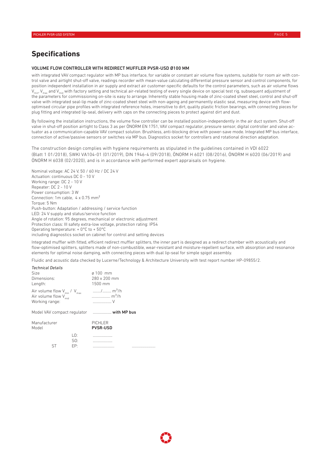## **Specifications**

#### VOLUME FLOW CONTROLLER WITH REDIRECT MUFFLER PVSR-USD Ø100 MM

with integrated VAV compact regulator with MP bus interface, for variable or constant air volume flow systems, suitable for room air with control valve and airtight shut-off valve, readings recorder with mean-value calculating differential pressure sensor and control components, for position independent installation in air supply and extract air customer-specific defaults for the control parameters, such as air volume flows  $V_{\text{min}}$ ,  $V_{\text{max}}$  and  $V_{\text{min}}$  with factory setting and technical air-related testing of every single device on special test rig, subsequent adjustment of the parameters for commissioning on-site is easy to arrange. Inherently stable housing made of zinc-coated sheet steel, control and shut-off valve with integrated seal-lip made of zinc-coated sheet steel with non-ageing and permanently elastic seal, measuring device with flowoptimised circular pipe profiles with integrated reference holes, insensitive to dirt, quality plastic friction bearings, with connecting pieces for plug fitting and integrated lip-seal, delivery with caps on the connecting pieces to protect against dirt and dust.

By following the installation instructions, the volume flow controller can be installed position-independently in the air duct system. Shut-off valve in shut-off position airtight to Class 3 as per ÖNORM EN 1751, VAV compact regulator, pressure sensor, digital controller and valve actuator as a communication-capable VAV compact solution. Brushless, anti-blocking drive with power-save mode. Integrated MP bus interface, connection of active/passive sensors or switches via MP bus. Diagnostics socket for controllers and rotational direction adaptation.

The construction design complies with hygiene requirements as stipulated in the guidelines contained in VDI 6022 (Blatt 1 01/2018), SWKI VA104-01 (01/2019), DIN 1946-4 (09/2018), ÖNORM H 6021 (08/2016), ÖNORM H 6020 (06/2019) and ÖNORM H 6038 (02/2020), and is in accordance with performed expert appraisals on hygiene.

Nominal voltage: AC 24 V, 50 / 60 Hz / DC 24 V Actuation: continuous DC 0 - 10 V Working range: DC 2 - 10 V Repeater: DC 2 - 10 V Power consumption: 3 W Connection: 1m cable, 4 x 0.75 mm² Torque: 5 Nm Push-button: Adaptation / addressing / service function LED: 24 V supply and status/service function Angle of rotation: 95 degrees, mechanical or electronic adjustment Protection class: III safety extra-low voltage, protection rating: IP54 Operating temperature: + 0°C to + 50°C

including diagnostics socket on cabinet for control and setting devices

Integrated muffler with fitted, efficient redirect muffler splitters, the inner part is designed as a redirect chamber with acoustically and flow-optimised splitters, splitters made of non-combustible, wear-resistant and moisture-repellent surface, with absorption and resonance elements for optimal noise damping, with connecting pieces with dual lip-seal for simple spigot assembly.

Fluidic and acoustic data checked by Lucerne/Technology & Architecture University with test report number HP-09855/2.

| <b>Technical Details</b><br>Size<br>Dimensions:<br>Length:                                |                   | $\alpha$ 100 mm<br>280 x 200 mm<br>1500 mm      |  |  |  |  |  |  |
|-------------------------------------------------------------------------------------------|-------------------|-------------------------------------------------|--|--|--|--|--|--|
| Air volume flow $V_{min} / V_{max}$<br>Air volume flow V <sub>mid</sub><br>Working range: |                   | / m <sup>3</sup> /h<br>m <sup>3</sup> /h<br>. V |  |  |  |  |  |  |
|                                                                                           |                   | Model VAV compact regulator  with MP bus        |  |  |  |  |  |  |
| Manufacturer<br>Model                                                                     |                   | PICHLER<br><b>PVSR-USD</b>                      |  |  |  |  |  |  |
|                                                                                           | LO:<br>SO:<br>EP: |                                                 |  |  |  |  |  |  |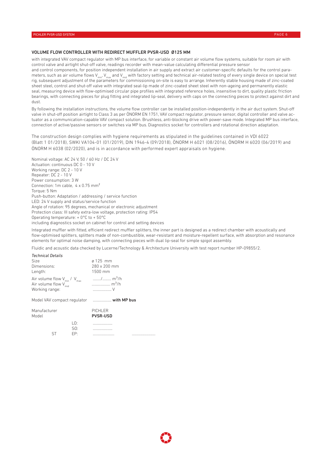#### VOLUME FLOW CONTROLLER WITH REDIRECT MUFFLER PVSR-USD Ø125 MM

with integrated VAV compact regulator with MP bus interface, for variable or constant air volume flow systems, suitable for room air with control valve and airtight shut-off valve, readings recorder with mean-value calculating differential pressure sensor and control components, for position independent installation in air supply and extract air customer-specific defaults for the control parameters, such as air volume flows  $V_{min}$ ,  $V_{max}$  and  $V_{mid}$  with factory setting and technical air-related testing of every single device on special test rig, subsequent adjustment of the parameters for commissioning on-site is easy to arrange. Inherently stable housing made of zinc-coated sheet steel, control and shut-off valve with integrated seal-lip made of zinc-coated sheet steel with non-ageing and permanently elastic seal, measuring device with flow-optimised circular pipe profiles with integrated reference holes, insensitive to dirt, quality plastic friction bearings, with connecting pieces for plug fitting and integrated lip-seal, delivery with caps on the connecting pieces to protect against dirt and dust.

By following the installation instructions, the volume flow controller can be installed position-independently in the air duct system. Shut-off valve in shut-off position airtight to Class 3 as per ÖNORM EN 1751, VAV compact regulator, pressure sensor, digital controller and valve actuator as a communication-capable VAV compact solution. Brushless, anti-blocking drive with power-save mode. Integrated MP bus interface, connection of active/passive sensors or switches via MP bus. Diagnostics socket for controllers and rotational direction adaptation.

The construction design complies with hygiene requirements as stipulated in the guidelines contained in VDI 6022 (Blatt 1 01/2018), SWKI VA104-01 (01/2019), DIN 1946-4 (09/2018), ÖNORM H 6021 (08/2016), ÖNORM H 6020 (06/2019) and ÖNORM H 6038 (02/2020), and is in accordance with performed expert appraisals on hygiene.

Nominal voltage: AC 24 V, 50 / 60 Hz / DC 24 V Actuation: continuous DC 0 - 10 V Working range: DC 2 - 10 V Repeater: DC 2 - 10 V Power consumption: 3 W Connection: 1m cable, 4 x 0.75 mm² Torque: 5 Nm Push-button: Adaptation / addressing / service function LED: 24 V supply and status/service function Angle of rotation: 95 degrees, mechanical or electronic adjustment Protection class: III safety extra-low voltage, protection rating: IP54 Operating temperature: + 0°C to + 50°C including diagnostics socket on cabinet for control and setting devices

Integrated muffler with fitted, efficient redirect muffler splitters, the inner part is designed as a redirect chamber with acoustically and flow-optimised splitters, splitters made of non-combustible, wear-resistant and moisture-repellent surface, with absorption and resonance elements for optimal noise damping, with connecting pieces with dual lip-seal for simple spigot assembly.

Fluidic and acoustic data checked by Lucerne/Technology & Architecture University with test report number HP-09855/2.

| <b>Technical Details</b> |                                  |     |                                                                         |  |  |  |  |  |  |
|--------------------------|----------------------------------|-----|-------------------------------------------------------------------------|--|--|--|--|--|--|
| Size                     |                                  |     | $\alpha$ 125 mm                                                         |  |  |  |  |  |  |
| Dimensions:              |                                  |     | 280 x 200 mm                                                            |  |  |  |  |  |  |
| Length:                  |                                  |     | 1500 mm                                                                 |  |  |  |  |  |  |
| Working range:           | Air volume flow V <sub>mid</sub> |     | Air volume flow V <sub>min</sub> / V <sub>max</sub> / m <sup>3</sup> /h |  |  |  |  |  |  |
|                          |                                  |     | Model VAV compact regulator  with MP bus                                |  |  |  |  |  |  |
| Manufacturer<br>Model    |                                  |     | <b>PICHLER</b><br><b>PVSR-USD</b>                                       |  |  |  |  |  |  |
|                          |                                  | LO: |                                                                         |  |  |  |  |  |  |
|                          |                                  | SO: |                                                                         |  |  |  |  |  |  |
|                          | ST                               | EP: |                                                                         |  |  |  |  |  |  |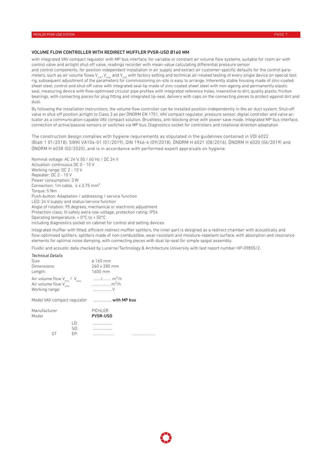#### VOLUME FLOW CONTROLLER WITH REDIRECT MUFFLER PVSR-USD Ø160 MM

with integrated VAV compact regulator with MP bus interface, for variable or constant air volume flow systems, suitable for room air with control valve and airtight shut-off valve, readings recorder with mean-value calculating differential pressure sensor and control components, for position independent installation in air supply and extract air customer-specific defaults for the control parameters, such as air volume flows  $V_{min}$ ,  $V_{max}$  and  $V_{mid}$  with factory setting and technical air-related testing of every single device on special test rig, subsequent adjustment of the parameters for commissioning on-site is easy to arrange. Inherently stable housing made of zinc-coated sheet steel, control and shut-off valve with integrated seal-lip made of zinc-coated sheet steel with non-ageing and permanently elastic seal, measuring device with flow-optimised circular pipe profiles with integrated reference holes, insensitive to dirt, quality plastic friction bearings, with connecting pieces for plug fitting and integrated lip-seal, delivery with caps on the connecting pieces to protect against dirt and dust.

By following the installation instructions, the volume flow controller can be installed position-independently in the air duct system. Shut-off valve in shut-off position airtight to Class 3 as per ÖNORM EN 1751, VAV compact regulator, pressure sensor, digital controller and valve actuator as a communication-capable VAV compact solution. Brushless, anti-blocking drive with power-save mode. Integrated MP bus interface, connection of active/passive sensors or switches via MP bus. Diagnostics socket for controllers and rotational direction adaptation.

The construction design complies with hygiene requirements as stipulated in the guidelines contained in VDI 6022 (Blatt 1 01/2018), SWKI VA104-01 (01/2019), DIN 1946-4 (09/2018), ÖNORM H 6021 (08/2016), ÖNORM H 6020 (06/2019) and ÖNORM H 6038 (02/2020), and is in accordance with performed expert appraisals on hygiene.

Nominal voltage: AC 24 V, 50 / 60 Hz / DC 24 V Actuation: continuous DC 0 - 10 V Working range: DC 2 - 10 V Repeater: DC 2 - 10 V Power consumption: 3 W Connection: 1m cable, 4 x 0.75 mm² Torque: 5 Nm Push-button: Adaptation / addressing / service function LED: 24 V supply and status/service function Angle of rotation: 95 degrees, mechanical or electronic adjustment Protection class: III safety extra-low voltage, protection rating: IP54 Operating temperature: + 0°C to + 50°C including diagnostics socket on cabinet for control and setting devices

Integrated muffler with fitted, efficient redirect muffler splitters, the inner part is designed as a redirect chamber with acoustically and flow-optimised splitters, splitters made of non-combustible, wear-resistant and moisture-repellent surface, with absorption and resonance elements for optimal noise damping, with connecting pieces with dual lip-seal for simple spigot assembly.

Fluidic and acoustic data checked by Lucerne/Technology & Architecture University with test report number HP-09855/2.

| <b>Technical Details</b> |                                  |     |                                                                                                       |  |  |  |  |  |  |  |  |
|--------------------------|----------------------------------|-----|-------------------------------------------------------------------------------------------------------|--|--|--|--|--|--|--|--|
| Size                     |                                  |     | $\alpha$ 160 mm                                                                                       |  |  |  |  |  |  |  |  |
| Dimensions:              |                                  |     | 260 x 280 mm                                                                                          |  |  |  |  |  |  |  |  |
| Length:                  |                                  |     | 1600 mm                                                                                               |  |  |  |  |  |  |  |  |
| Working range:           | Air volume flow V <sub>mid</sub> |     | Air volume flow V <sub>min</sub> / V <sub>max</sub> / m <sup>3</sup> /h<br>$\ldots$ m <sup>3</sup> /h |  |  |  |  |  |  |  |  |
|                          |                                  |     | Model VAV compact regulator  with MP bus                                                              |  |  |  |  |  |  |  |  |
| Manufacturer<br>Model    |                                  |     | <b>PICHLER</b><br><b>PVSR-USD</b>                                                                     |  |  |  |  |  |  |  |  |
|                          |                                  | LO: |                                                                                                       |  |  |  |  |  |  |  |  |
|                          |                                  | SO: |                                                                                                       |  |  |  |  |  |  |  |  |
|                          | ST                               | EP: |                                                                                                       |  |  |  |  |  |  |  |  |